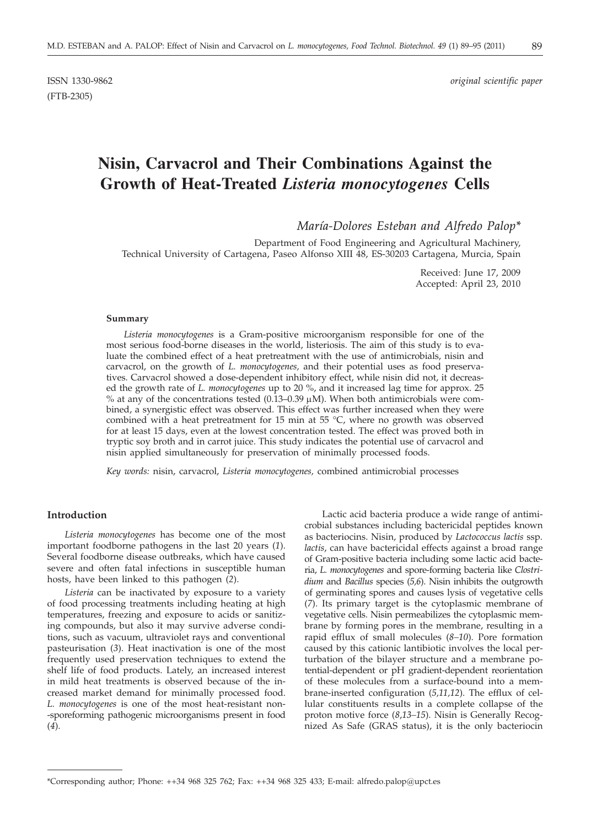(FTB-2305)

ISSN 1330-9862 *original scientific paper*

# **Nisin, Carvacrol and Their Combinations Against the Growth of Heat-Treated** *Listeria monocytogenes* **Cells**

*María-Dolores Esteban and Alfredo Palop\**

Department of Food Engineering and Agricultural Machinery, Technical University of Cartagena, Paseo Alfonso XIII 48, ES-30203 Cartagena, Murcia, Spain

> Received: June 17, 2009 Accepted: April 23, 2010

#### **Summary**

*Listeria monocytogenes* is a Gram-positive microorganism responsible for one of the most serious food-borne diseases in the world, listeriosis. The aim of this study is to evaluate the combined effect of a heat pretreatment with the use of antimicrobials, nisin and carvacrol, on the growth of *L. monocytogenes,* and their potential uses as food preservatives. Carvacrol showed a dose-dependent inhibitory effect, while nisin did not, it decreased the growth rate of *L. monocytogenes* up to 20 %, and it increased lag time for approx. 25 % at any of the concentrations tested  $(0.13-0.39 \,\mu\text{M})$ . When both antimicrobials were combined, a synergistic effect was observed. This effect was further increased when they were combined with a heat pretreatment for 15 min at 55 °C, where no growth was observed for at least 15 days, even at the lowest concentration tested. The effect was proved both in tryptic soy broth and in carrot juice. This study indicates the potential use of carvacrol and nisin applied simultaneously for preservation of minimally processed foods.

*Key words:* nisin, carvacrol, *Listeria monocytogenes,* combined antimicrobial processes

### **Introduction**

*Listeria monocytogenes* has become one of the most important foodborne pathogens in the last 20 years (*1*). Several foodborne disease outbreaks, which have caused severe and often fatal infections in susceptible human hosts, have been linked to this pathogen (*2*).

*Listeria* can be inactivated by exposure to a variety of food processing treatments including heating at high temperatures, freezing and exposure to acids or sanitizing compounds, but also it may survive adverse conditions, such as vacuum, ultraviolet rays and conventional pasteurisation (*3*). Heat inactivation is one of the most frequently used preservation techniques to extend the shelf life of food products. Lately, an increased interest in mild heat treatments is observed because of the increased market demand for minimally processed food. *L. monocytogenes* is one of the most heat-resistant non- -sporeforming pathogenic microorganisms present in food (*4*).

Lactic acid bacteria produce a wide range of antimicrobial substances including bactericidal peptides known as bacteriocins. Nisin, produced by *Lactococcus lactis* ssp. *lactis*, can have bactericidal effects against a broad range of Gram-positive bacteria including some lactic acid bacteria, *L. monocytogenes* and spore-forming bacteria like *Clostridium* and *Bacillus* species (*5,6*). Nisin inhibits the outgrowth of germinating spores and causes lysis of vegetative cells (*7*). Its primary target is the cytoplasmic membrane of vegetative cells. Nisin permeabilizes the cytoplasmic membrane by forming pores in the membrane, resulting in a rapid efflux of small molecules (*8–10*). Pore formation caused by this cationic lantibiotic involves the local perturbation of the bilayer structure and a membrane potential-dependent or pH gradient-dependent reorientation of these molecules from a surface-bound into a membrane-inserted configuration (*5,11,12*). The efflux of cellular constituents results in a complete collapse of the proton motive force (*8*,*13–15*). Nisin is Generally Recognized As Safe (GRAS status), it is the only bacteriocin

<sup>\*</sup>Corresponding author; Phone: ++34 968 325 762; Fax: ++34 968 325 433; E-mail: alfredo.palop@upct.es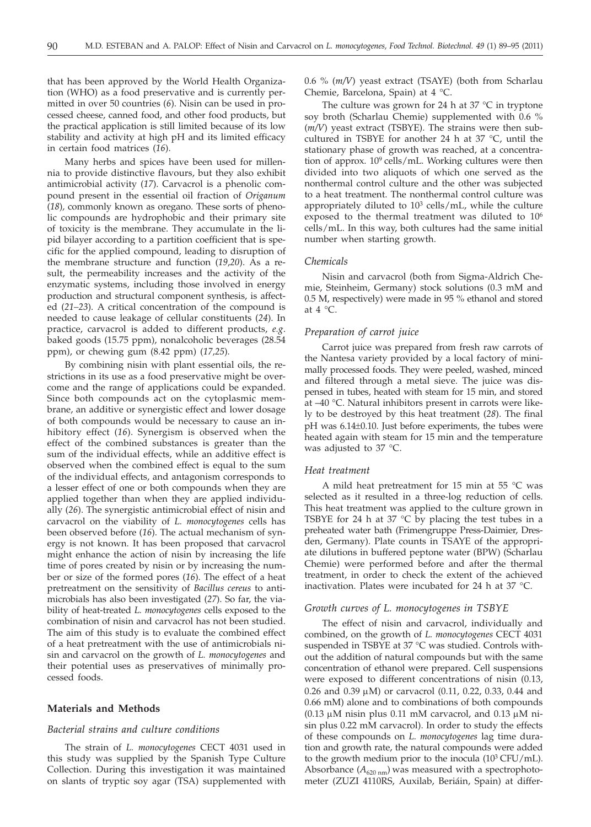that has been approved by the World Health Organization (WHO) as a food preservative and is currently permitted in over 50 countries (*6*). Nisin can be used in processed cheese, canned food, and other food products, but the practical application is still limited because of its low stability and activity at high pH and its limited efficacy in certain food matrices (*16*).

Many herbs and spices have been used for millennia to provide distinctive flavours, but they also exhibit antimicrobial activity (*17*). Carvacrol is a phenolic compound present in the essential oil fraction of *Origanum* (*18*)*,* commonly known as oregano. These sorts of phenolic compounds are hydrophobic and their primary site of toxicity is the membrane. They accumulate in the lipid bilayer according to a partition coefficient that is specific for the applied compound, leading to disruption of the membrane structure and function (*19*,*20*). As a result, the permeability increases and the activity of the enzymatic systems, including those involved in energy production and structural component synthesis, is affected (*21–23*). A critical concentration of the compound is needed to cause leakage of cellular constituents (*24*). In practice, carvacrol is added to different products, *e.g*. baked goods (15.75 ppm), nonalcoholic beverages (28.54 ppm), or chewing gum (8.42 ppm) (*17,25*).

By combining nisin with plant essential oils, the restrictions in its use as a food preservative might be overcome and the range of applications could be expanded. Since both compounds act on the cytoplasmic membrane, an additive or synergistic effect and lower dosage of both compounds would be necessary to cause an inhibitory effect (*16*). Synergism is observed when the effect of the combined substances is greater than the sum of the individual effects, while an additive effect is observed when the combined effect is equal to the sum of the individual effects, and antagonism corresponds to a lesser effect of one or both compounds when they are applied together than when they are applied individually (*26*). The synergistic antimicrobial effect of nisin and carvacrol on the viability of *L. monocytogenes* cells has been observed before (*16*). The actual mechanism of synergy is not known. It has been proposed that carvacrol might enhance the action of nisin by increasing the life time of pores created by nisin or by increasing the number or size of the formed pores (*16*). The effect of a heat pretreatment on the sensitivity of *Bacillus cereus* to antimicrobials has also been investigated (*27*). So far, the viability of heat-treated *L. monocytogenes* cells exposed to the combination of nisin and carvacrol has not been studied. The aim of this study is to evaluate the combined effect of a heat pretreatment with the use of antimicrobials nisin and carvacrol on the growth of *L. monocytogenes* and their potential uses as preservatives of minimally processed foods.

## **Materials and Methods**

## *Bacterial strains and culture conditions*

The strain of *L. monocytogenes* CECT 4031 used in this study was supplied by the Spanish Type Culture Collection. During this investigation it was maintained on slants of tryptic soy agar (TSA) supplemented with 0.6 % (*m/V*) yeast extract (TSAYE) (both from Scharlau Chemie, Barcelona, Spain) at 4 °C.

The culture was grown for 24 h at  $37 °C$  in tryptone soy broth (Scharlau Chemie) supplemented with 0.6 % (*m/V*) yeast extract (TSBYE). The strains were then subcultured in TSBYE for another 24 h at 37 °C, until the stationary phase of growth was reached, at a concentration of approx.  $10^9$  cells/mL. Working cultures were then divided into two aliquots of which one served as the nonthermal control culture and the other was subjected to a heat treatment. The nonthermal control culture was appropriately diluted to  $10<sup>3</sup>$  cells/mL, while the culture exposed to the thermal treatment was diluted to  $10<sup>6</sup>$ cells/mL. In this way, both cultures had the same initial number when starting growth.

#### *Chemicals*

Nisin and carvacrol (both from Sigma-Aldrich Chemie, Steinheim, Germany) stock solutions (0.3 mM and 0.5 M, respectively) were made in 95 % ethanol and stored at 4 °C.

#### *Preparation of carrot juice*

Carrot juice was prepared from fresh raw carrots of the Nantesa variety provided by a local factory of minimally processed foods. They were peeled, washed, minced and filtered through a metal sieve. The juice was dispensed in tubes, heated with steam for 15 min, and stored at –40 °C. Natural inhibitors present in carrots were likely to be destroyed by this heat treatment (*28*). The final pH was 6.14±0.10. Just before experiments, the tubes were heated again with steam for 15 min and the temperature was adjusted to 37 °C.

#### *Heat treatment*

A mild heat pretreatment for 15 min at 55 °C was selected as it resulted in a three-log reduction of cells. This heat treatment was applied to the culture grown in TSBYE for 24 h at 37  $^{\circ}$ C by placing the test tubes in a preheated water bath (Frimengruppe Press-Daimier, Dresden, Germany). Plate counts in TSAYE of the appropriate dilutions in buffered peptone water (BPW) (Scharlau Chemie) were performed before and after the thermal treatment, in order to check the extent of the achieved inactivation. Plates were incubated for 24 h at 37 °C.

#### *Growth curves of L. monocytogenes in TSBYE*

The effect of nisin and carvacrol, individually and combined, on the growth of *L. monocytogenes* CECT 4031 suspended in TSBYE at 37 °C was studied. Controls without the addition of natural compounds but with the same concentration of ethanol were prepared. Cell suspensions were exposed to different concentrations of nisin (0.13,  $0.26$  and  $0.39 \mu$ M) or carvacrol  $(0.11, 0.22, 0.33, 0.44$  and 0.66 mM) alone and to combinations of both compounds (0.13  $\mu$ M nisin plus 0.11 mM carvacrol, and 0.13  $\mu$ M nisin plus 0.22 mM carvacrol). In order to study the effects of these compounds on *L. monocytogenes* lag time duration and growth rate, the natural compounds were added to the growth medium prior to the inocula  $(10^3 \text{ CFU/mL})$ . Absorbance  $(A_{620 \text{ nm}})$  was measured with a spectrophotometer (ZUZI 4110RS, Auxilab, Beriáin, Spain) at differ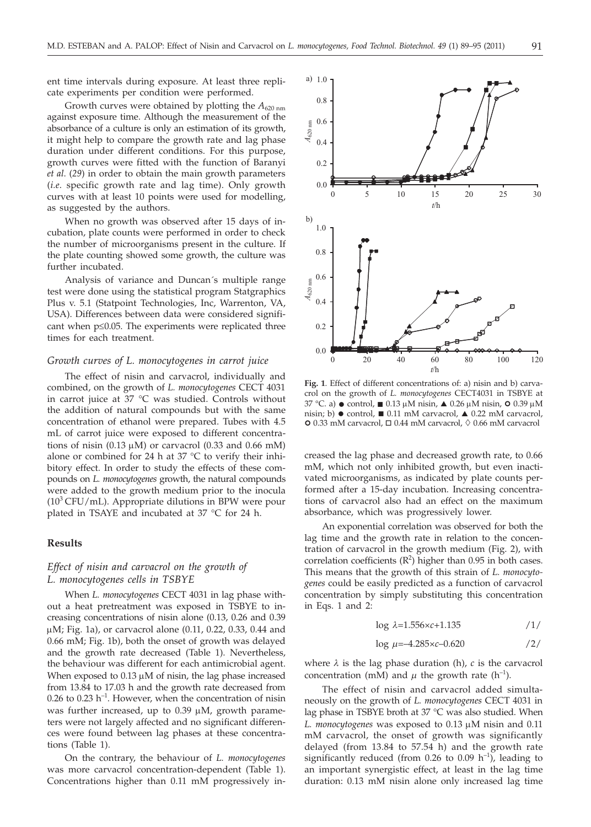ent time intervals during exposure. At least three replicate experiments per condition were performed.

Growth curves were obtained by plotting the  $A_{620 \text{ nm}}$ against exposure time. Although the measurement of the absorbance of a culture is only an estimation of its growth, it might help to compare the growth rate and lag phase duration under different conditions. For this purpose, growth curves were fitted with the function of Baranyi *et al*. (*29*) in order to obtain the main growth parameters (*i.e*. specific growth rate and lag time). Only growth curves with at least 10 points were used for modelling, as suggested by the authors.

When no growth was observed after 15 days of incubation, plate counts were performed in order to check the number of microorganisms present in the culture. If the plate counting showed some growth, the culture was further incubated.

Analysis of variance and Duncan´s multiple range test were done using the statistical program Statgraphics Plus v. 5.1 (Statpoint Technologies, Inc, Warrenton, VA, USA). Differences between data were considered significant when  $p \leq 0.05$ . The experiments were replicated three times for each treatment.

#### *Growth curves of L. monocytogenes in carrot juice*

The effect of nisin and carvacrol, individually and combined, on the growth of *L. monocytogenes* CECT 4031 in carrot juice at 37 °C was studied. Controls without the addition of natural compounds but with the same concentration of ethanol were prepared. Tubes with 4.5 mL of carrot juice were exposed to different concentrations of nisin (0.13  $\mu$ M) or carvacrol (0.33 and 0.66 mM) alone or combined for 24 h at 37 °C to verify their inhibitory effect. In order to study the effects of these compounds on *L. monocytogenes* growth, the natural compounds were added to the growth medium prior to the inocula  $(10<sup>3</sup> CFU/mL)$ . Appropriate dilutions in BPW were pour plated in TSAYE and incubated at 37 °C for 24 h.

## **Results**

# *Effect of nisin and carvacrol on the growth of L. monocytogenes cells in TSBYE*

When *L. monocytogenes* CECT 4031 in lag phase without a heat pretreatment was exposed in TSBYE to increasing concentrations of nisin alone (0.13, 0.26 and 0.39  $\mu$ M; Fig. 1a), or carvacrol alone (0.11, 0.22, 0.33, 0.44 and 0.66 mM; Fig. 1b), both the onset of growth was delayed and the growth rate decreased (Table 1). Nevertheless, the behaviour was different for each antimicrobial agent. When exposed to  $0.13 \mu$ M of nisin, the lag phase increased from 13.84 to 17.03 h and the growth rate decreased from 0.26 to 0.23  $h^{-1}$ . However, when the concentration of nisin was further increased, up to  $0.39 \mu M$ , growth parameters were not largely affected and no significant differences were found between lag phases at these concentrations (Table 1).

On the contrary, the behaviour of *L. monocytogenes* was more carvacrol concentration-dependent (Table 1). Concentrations higher than 0.11 mM progressively in-



**Fig. 1**. Effect of different concentrations of: a) nisin and b) carvacrol on the growth of *L. monocytogenes* CECT4031 in TSBYE at 37 °C. a)  $\bullet$  control,  $\Box$  0.13  $\mu$ M nisin,  $\triangle$  0.26  $\mu$ M nisin,  $\circ$  0.39  $\mu$ M nisin; b)  $\bullet$  control  $\Box$  0.11 mM caryacrol  $\triangle$  0.22 mM caryacrol nisin; b)  $\bullet$  control,  $\bullet$  0.11 mM carvacrol,  $\bullet$  0.22 mM carvacrol, - 0.33 mM carvacrol, 0.44 mM carvacrol, 0.66 mM carvacrol

creased the lag phase and decreased growth rate, to 0.66 mM, which not only inhibited growth, but even inactivated microorganisms, as indicated by plate counts performed after a 15-day incubation. Increasing concentrations of carvacrol also had an effect on the maximum absorbance, which was progressively lower.

An exponential correlation was observed for both the lag time and the growth rate in relation to the concentration of carvacrol in the growth medium (Fig. 2), with correlation coefficients  $(R^2)$  higher than 0.95 in both cases. This means that the growth of this strain of *L. monocytogenes* could be easily predicted as a function of carvacrol concentration by simply substituting this concentration in Eqs. 1 and 2:

$$
\log \lambda = 1.556 \times c + 1.135 \tag{1/}
$$

$$
\log \mu = -4.285 \times c - 0.620 \tag{2}
$$

where  $\lambda$  is the lag phase duration (h),  $c$  is the carvacrol concentration (mM) and  $\mu$  the growth rate (h<sup>-1</sup>).

The effect of nisin and carvacrol added simultaneously on the growth of *L. monocytogenes* CECT 4031 in lag phase in TSBYE broth at 37 °C was also studied. When L. *monocytogenes* was exposed to 0.13  $\mu$ M nisin and 0.11 mM carvacrol, the onset of growth was significantly delayed (from 13.84 to 57.54 h) and the growth rate significantly reduced (from 0.26 to 0.09  $h^{-1}$ ), leading to an important synergistic effect, at least in the lag time duration: 0.13 mM nisin alone only increased lag time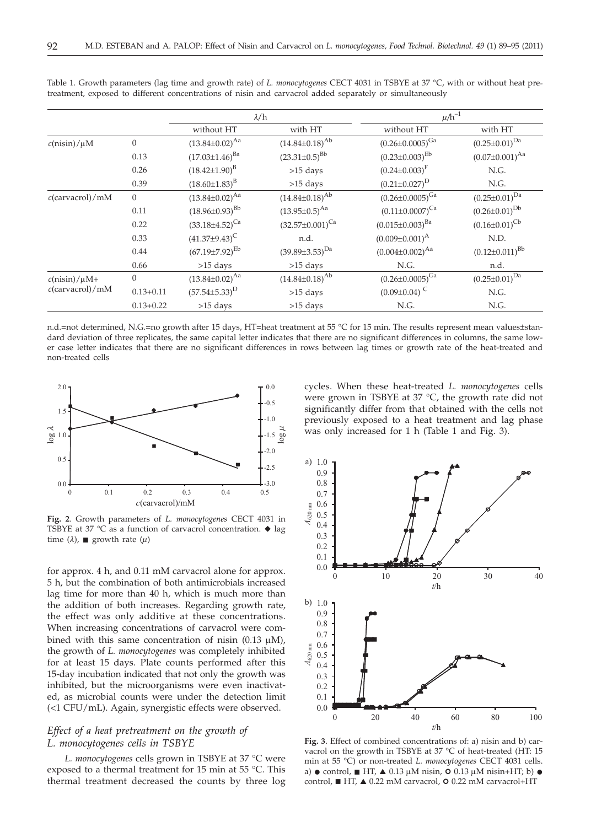|                                         |                | $\lambda/h$             |                          | $\mu/h^{-1}$                   |                         |
|-----------------------------------------|----------------|-------------------------|--------------------------|--------------------------------|-------------------------|
|                                         |                | without HT              | with HT                  | without HT                     | with HT                 |
| $c(nisin)/\mu M$                        | $\overline{0}$ | $(13.84 \pm 0.02)^{Aa}$ | $(14.84 \pm 0.18)^{Ab}$  | $(0.26 \pm 0.0005)^{Ga}$       | $(0.25 \pm 0.01)^{Da}$  |
|                                         | 0.13           | $(17.03 \pm 1.46)^{Ba}$ | $(23.31\pm0.5)^{Bb}$     | $(0.23 \pm 0.003)^{Eb}$        | $(0.07 \pm 0.001)^{Aa}$ |
|                                         | 0.26           | $(18.42 \pm 1.90)^{B}$  | $>15$ days               | $(0.24 \pm 0.003)^F$           | N.G.                    |
|                                         | 0.39           | $(18.60\pm1.83)^{B}$    | $>15$ days               | $(0.21 \pm 0.027)^D$           | N.G.                    |
| $c$ (carvacrol)/mM                      | $\overline{0}$ | $(13.84 \pm 0.02)^{Aa}$ | $(14.84 \pm 0.18)^{Ab}$  | $(0.26 \pm 0.0005)^{Ga}$       | $(0.25 \pm 0.01)^{Da}$  |
|                                         | 0.11           | $(18.96\pm0.93)^{Bb}$   | $(13.95 \pm 0.5)^{Aa}$   | $(0.11\pm0.0007)^{Ca}$         | $(0.26 \pm 0.01)^{Db}$  |
|                                         | 0.22           | $(33.18 \pm 4.52)^{Ca}$ | $(32.57 \pm 0.001)^{Ca}$ | $(0.015 \pm 0.003)^{Ba}$       | $(0.16 \pm 0.01)^{Cb}$  |
|                                         | 0.33           | $(41.37\pm9.43)^C$      | n.d.                     | $(0.009 \pm 0.001)^{\text{A}}$ | N.D.                    |
|                                         | 0.44           | $(67.19 \pm 7.92)^{Eb}$ | $(39.89 \pm 3.53)^{Da}$  | $(0.004 \pm 0.002)^{Aa}$       | $(0.12 \pm 0.011)^{Bb}$ |
|                                         | 0.66           | $>15$ days              | $>15$ days               | N.G.                           | n.d.                    |
| $c(nisin)/\mu M+$<br>$c$ (carvacrol)/mM | $\overline{0}$ | $(13.84 \pm 0.02)^{Aa}$ | $(14.84 \pm 0.18)^{Ab}$  | $(0.26 \pm 0.0005)^{Ga}$       | $(0.25 \pm 0.01)^{Da}$  |
|                                         | $0.13 + 0.11$  | $(57.54 \pm 5.33)^D$    | $>15$ days               | $(0.09\pm0.04)$ <sup>C</sup>   | N.G.                    |
|                                         | $0.13 + 0.22$  | $>15$ days              | $>15$ days               | N.G.                           | N.G.                    |

Table 1. Growth parameters (lag time and growth rate) of *L. monocytogenes* CECT 4031 in TSBYE at 37 °C, with or without heat pretreatment, exposed to different concentrations of nisin and carvacrol added separately or simultaneously

n.d.=not determined, N.G.=no growth after 15 days, HT=heat treatment at 55 °C for 15 min. The results represent mean values±standard deviation of three replicates, the same capital letter indicates that there are no significant differences in columns, the same lower case letter indicates that there are no significant differences in rows between lag times or growth rate of the heat-treated and non-treated cells



**Fig. 2**. Growth parameters of *L. monocytogenes* CECT 4031 in TSBYE at 37 °C as a function of carvacrol concentration.  $\blacklozenge$  lag time  $(\lambda)$ , **g** growth rate  $(\mu)$ 

for approx. 4 h, and 0.11 mM carvacrol alone for approx. 5 h, but the combination of both antimicrobials increased lag time for more than 40 h, which is much more than the addition of both increases. Regarding growth rate, the effect was only additive at these concentrations. When increasing concentrations of carvacrol were combined with this same concentration of nisin  $(0.13 \mu M)$ , the growth of *L. monocytogenes* was completely inhibited for at least 15 days. Plate counts performed after this 15-day incubation indicated that not only the growth was inhibited, but the microorganisms were even inactivated, as microbial counts were under the detection limit (<1 CFU/mL). Again, synergistic effects were observed.

# *Effect of a heat pretreatment on the growth of L. monocytogenes cells in TSBYE*

*L. monocytogenes* cells grown in TSBYE at 37 °C were exposed to a thermal treatment for 15 min at 55 °C. This thermal treatment decreased the counts by three log

cycles. When these heat-treated *L. monocytogenes* cells were grown in TSBYE at 37 °C, the growth rate did not significantly differ from that obtained with the cells not previously exposed to a heat treatment and lag phase was only increased for 1 h (Table 1 and Fig. 3).



**Fig. 3**. Effect of combined concentrations of: a) nisin and b) carvacrol on the growth in TSBYE at 37 °C of heat-treated (HT: 15 min at 55 °C) or non-treated *L. monocytogenes* CECT 4031 cells. a)  $\bullet$  control,  $\blacksquare$  HT,  $\blacktriangle$  0.13  $\mu$ M nisin,  $\blacksquare$  0.13  $\mu$ M nisin+HT; b)  $\bullet$ <br>control  $\blacksquare$  HT  $\blacktriangle$  0.22 mM caryacrol, 0.0.22 mM caryacrol+HT control, ■ HT, ▲ 0.22 mM carvacrol, O 0.22 mM carvacrol+HT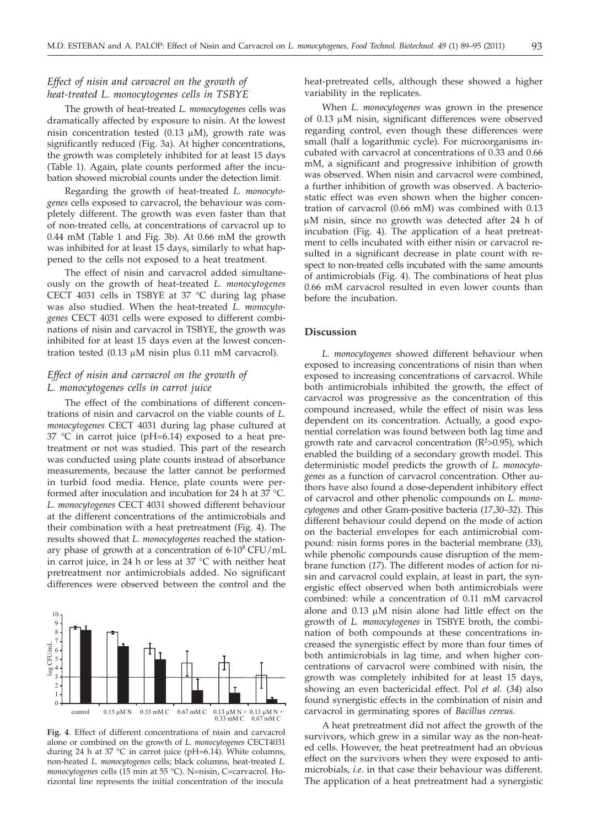# *Effect of nisin and carvacrol on the growth of heat-treated L. monocytogenes cells in TSBYE*

The growth of heat-treated *L. monocytogenes* cells was dramatically affected by exposure to nisin. At the lowest nisin concentration tested  $(0.13 \mu M)$ , growth rate was significantly reduced (Fig. 3a). At higher concentrations, the growth was completely inhibited for at least 15 days (Table 1). Again, plate counts performed after the incubation showed microbial counts under the detection limit.

Regarding the growth of heat-treated *L. monocytogenes* cells exposed to carvacrol, the behaviour was completely different. The growth was even faster than that of non-treated cells, at concentrations of carvacrol up to 0.44 mM (Table 1 and Fig. 3b). At 0.66 mM the growth was inhibited for at least 15 days, similarly to what happened to the cells not exposed to a heat treatment.

The effect of nisin and carvacrol added simultaneously on the growth of heat-treated *L. monocytogenes* CECT 4031 cells in TSBYE at 37 °C during lag phase was also studied. When the heat-treated *L. monocytogenes* CECT 4031 cells were exposed to different combinations of nisin and carvacrol in TSBYE, the growth was inhibited for at least 15 days even at the lowest concentration tested  $(0.13 \mu M)$  nisin plus 0.11 mM carvacrol).

# *Effect of nisin and carvacrol on the growth of L. monocytogenes cells in carrot juice*

The effect of the combinations of different concentrations of nisin and carvacrol on the viable counts of *L. monocytogenes* CECT 4031 during lag phase cultured at  $37$  °C in carrot juice (pH=6.14) exposed to a heat pretreatment or not was studied. This part of the research was conducted using plate counts instead of absorbance measurements, because the latter cannot be performed in turbid food media. Hence, plate counts were performed after inoculation and incubation for 24 h at 37 °C. *L. monocytogenes* CECT 4031 showed different behaviour at the different concentrations of the antimicrobials and their combination with a heat pretreatment (Fig. 4). The results showed that *L. monocytogenes* reached the stationary phase of growth at a concentration of  $6.10^8$  CFU/mL in carrot juice, in 24 h or less at 37 °C with neither heat pretreatment nor antimicrobials added. No significant differences were observed between the control and the



**Fig. 4**. Effect of different concentrations of nisin and carvacrol alone or combined on the growth of *L. monocytogenes* CECT4031 during 24 h at 37 °C in carrot juice (pH=6.14). White columns, non-heated *L. monocytogenes* cells; black columns, heat-treated *L. monocytogenes* cells (15 min at 55 °C). N=nisin, C=carvacrol. Horizontal line represents the initial concentration of the inocula

heat-pretreated cells, although these showed a higher variability in the replicates.

When *L. monocytogenes* was grown in the presence of 0.13 µM nisin, significant differences were observed regarding control, even though these differences were small (half a logarithmic cycle). For microorganisms incubated with carvacrol at concentrations of 0.33 and 0.66 mM, a significant and progressive inhibition of growth was observed. When nisin and carvacrol were combined, a further inhibition of growth was observed. A bacteriostatic effect was even shown when the higher concentration of carvacrol (0.66 mM) was combined with 0.13  $\mu$ M nisin, since no growth was detected after 24 h of incubation (Fig. 4). The application of a heat pretreatment to cells incubated with either nisin or carvacrol resulted in a significant decrease in plate count with respect to non-treated cells incubated with the same amounts of antimicrobials (Fig. 4). The combinations of heat plus 0.66 mM carvacrol resulted in even lower counts than before the incubation.

## **Discussion**

*L. monocytogenes* showed different behaviour when exposed to increasing concentrations of nisin than when exposed to increasing concentrations of carvacrol. While both antimicrobials inhibited the growth, the effect of carvacrol was progressive as the concentration of this compound increased, while the effect of nisin was less dependent on its concentration. Actually, a good exponential correlation was found between both lag time and growth rate and carvacrol concentration  $(R^2>0.95)$ , which enabled the building of a secondary growth model. This deterministic model predicts the growth of *L. monocytogenes* as a function of carvacrol concentration. Other authors have also found a dose-dependent inhibitory effect of carvacrol and other phenolic compounds on *L. monocytogenes* and other Gram-positive bacteria (*17,30–32*). This different behaviour could depend on the mode of action on the bacterial envelopes for each antimicrobial compound: nisin forms pores in the bacterial membrane (*33*), while phenolic compounds cause disruption of the membrane function (*17*). The different modes of action for nisin and carvacrol could explain, at least in part, the synergistic effect observed when both antimicrobials were combined: while a concentration of 0.11 mM carvacrol alone and  $0.13 \mu M$  nisin alone had little effect on the growth of *L. monocytogenes* in TSBYE broth, the combination of both compounds at these concentrations increased the synergistic effect by more than four times of both antimicrobials in lag time, and when higher concentrations of carvacrol were combined with nisin, the growth was completely inhibited for at least 15 days, showing an even bactericidal effect. Pol *et al.* (*34*) also found synergistic effects in the combination of nisin and carvacrol in germinating spores of *Bacillus cereus*.

A heat pretreatment did not affect the growth of the survivors, which grew in a similar way as the non-heated cells. However, the heat pretreatment had an obvious effect on the survivors when they were exposed to antimicrobials, *i.e.* in that case their behaviour was different. The application of a heat pretreatment had a synergistic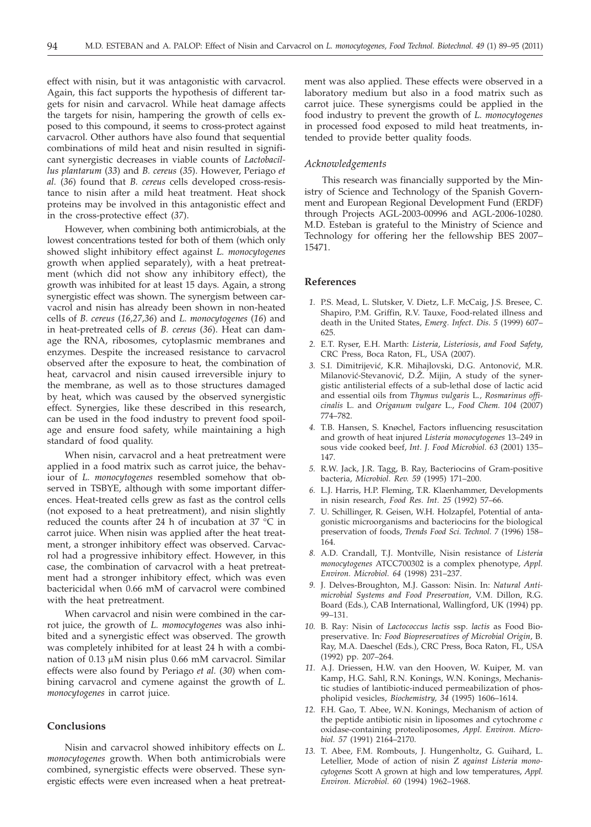effect with nisin, but it was antagonistic with carvacrol. Again, this fact supports the hypothesis of different targets for nisin and carvacrol. While heat damage affects the targets for nisin, hampering the growth of cells exposed to this compound, it seems to cross-protect against carvacrol. Other authors have also found that sequential combinations of mild heat and nisin resulted in significant synergistic decreases in viable counts of *Lactobacillus plantarum* (*33*) and *B. cereus* (*35*). However, Periago *et al.* (*36*) found that *B. cereus* cells developed cross-resistance to nisin after a mild heat treatment. Heat shock proteins may be involved in this antagonistic effect and in the cross-protective effect (*37*).

However, when combining both antimicrobials, at the lowest concentrations tested for both of them (which only showed slight inhibitory effect against *L. monocytogenes* growth when applied separately), with a heat pretreatment (which did not show any inhibitory effect), the growth was inhibited for at least 15 days. Again, a strong synergistic effect was shown. The synergism between carvacrol and nisin has already been shown in non-heated cells of *B. cereus* (*16,27,36*) and *L. monocytogenes* (*16*) and in heat-pretreated cells of *B. cereus* (*36*). Heat can damage the RNA, ribosomes, cytoplasmic membranes and enzymes. Despite the increased resistance to carvacrol observed after the exposure to heat, the combination of heat, carvacrol and nisin caused irreversible injury to the membrane, as well as to those structures damaged by heat, which was caused by the observed synergistic effect. Synergies, like these described in this research, can be used in the food industry to prevent food spoilage and ensure food safety, while maintaining a high standard of food quality.

When nisin, carvacrol and a heat pretreatment were applied in a food matrix such as carrot juice, the behaviour of *L. monocytogenes* resembled somehow that observed in TSBYE, although with some important differences. Heat-treated cells grew as fast as the control cells (not exposed to a heat pretreatment), and nisin slightly reduced the counts after 24 h of incubation at 37 °C in carrot juice. When nisin was applied after the heat treatment, a stronger inhibitory effect was observed. Carvacrol had a progressive inhibitory effect. However, in this case, the combination of carvacrol with a heat pretreatment had a stronger inhibitory effect, which was even bactericidal when 0.66 mM of carvacrol were combined with the heat pretreatment.

When carvacrol and nisin were combined in the carrot juice, the growth of *L. momocytogenes* was also inhibited and a synergistic effect was observed. The growth was completely inhibited for at least 24 h with a combination of  $0.13 \mu M$  nisin plus 0.66 mM carvacrol. Similar effects were also found by Periago *et al.* (*30*) when combining carvacrol and cymene against the growth of *L. monocytogenes* in carrot juice.

# **Conclusions**

Nisin and carvacrol showed inhibitory effects on *L. monocytogenes* growth. When both antimicrobials were combined, synergistic effects were observed. These synergistic effects were even increased when a heat pretreatment was also applied. These effects were observed in a laboratory medium but also in a food matrix such as carrot juice. These synergisms could be applied in the food industry to prevent the growth of *L. monocytogenes* in processed food exposed to mild heat treatments, intended to provide better quality foods.

## *Acknowledgements*

This research was financially supported by the Ministry of Science and Technology of the Spanish Government and European Regional Development Fund (ERDF) through Projects AGL-2003-00996 and AGL-2006-10280. M.D. Esteban is grateful to the Ministry of Science and Technology for offering her the fellowship BES 2007– 15471.

## **References**

- *1.* P.S. Mead, L. Slutsker, V. Dietz, L.F. McCaig, J.S. Bresee, C. Shapiro, P.M. Griffin, R.V. Tauxe, Food-related illness and death in the United States, *Emerg. Infect. Dis. 5* (1999) 607– 625.
- *2.* E.T. Ryser, E.H. Marth: *Listeria*, *Listeriosis*, *and Food Safety*, CRC Press, Boca Raton, FL, USA (2007).
- 3. S.I. Dimitrijević, K.R. Mihajlovski, D.G. Antonović, M.R. Milanović-Stevanović, D.Ž. Mijin, A study of the synergistic antilisterial effects of a sub-lethal dose of lactic acid and essential oils from *Thymus vulgaris* L*., Rosmarinus officinalis* L. and *Origanum vulgare* L., *Food Chem. 104* (2007) 774–782.
- *4.* T.B. Hansen, S. Knøchel, Factors influencing resuscitation and growth of heat injured *Listeria monocytogenes* 13–249 in sous vide cooked beef, *Int. J. Food Microbiol. 63* (2001) 135– 147.
- *5.* R.W. Jack, J.R. Tagg, B. Ray, Bacteriocins of Gram-positive bacteria, *Microbiol. Rev. 59* (1995) 171–200.
- *6.* L.J. Harris, H.P. Fleming, T.R. Klaenhammer, Developments in nisin research, *Food Res. Int. 25* (1992) 57–66.
- *7.* U. Schillinger, R. Geisen, W.H. Holzapfel, Potential of antagonistic microorganisms and bacteriocins for the biological preservation of foods, *Trends Food Sci. Technol. 7* (1996) 158– 164.
- *8.* A.D. Crandall, T.J. Montville, Nisin resistance of *Listeria monocytogenes* ATCC700302 is a complex phenotype*, Appl. Environ. Microbiol. 64* (1998) 231–237.
- *9.* J. Delves-Broughton, M.J. Gasson: Nisin. In: *Natural Antimicrobial Systems and Food Preservation*, V.M. Dillon, R.G. Board (Eds.), CAB International, Wallingford, UK (1994) pp. 99–131.
- *10.* B. Ray: Nisin of *Lactococcus lactis* ssp. *lactis* as Food Biopreservative. In*: Food Biopreservatives of Microbial Origin*, B. Ray, M.A. Daeschel (Eds.), CRC Press, Boca Raton, FL, USA (1992) pp. 207–264.
- *11.* A.J. Driessen, H.W. van den Hooven, W. Kuiper, M. van Kamp, H.G. Sahl, R.N. Konings, W.N. Konings, Mechanistic studies of lantibiotic-induced permeabilization of phospholipid vesicles, *Biochemistry, 34* (1995) 1606–1614.
- *12.* F.H. Gao, T. Abee, W.N. Konings, Mechanism of action of the peptide antibiotic nisin in liposomes and cytochrome *c* oxidase-containing proteoliposomes, *Appl. Environ. Microbiol. 57* (1991) 2164–2170.
- *13.* T. Abee, F.M. Rombouts, J. Hungenholtz, G. Guihard, L. Letellier, Mode of action of nisin Z *against Listeria monocytogenes* Scott A grown at high and low temperatures, *Appl. Environ. Microbiol. 60* (1994) 1962–1968.